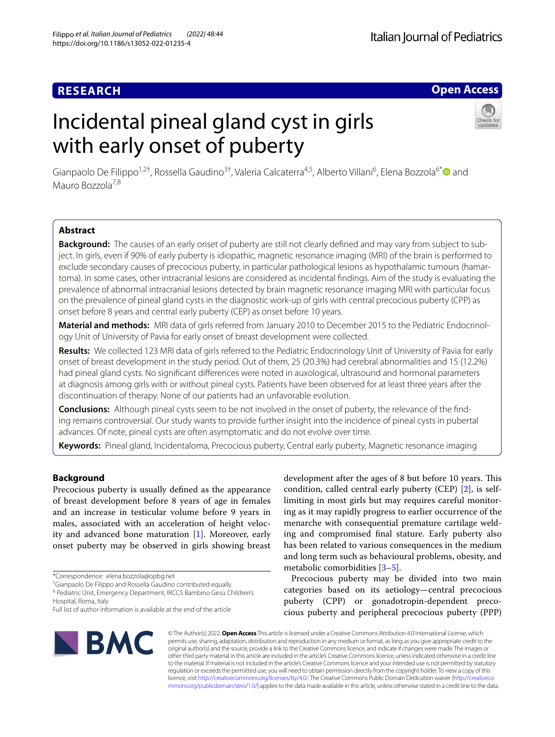# **Open Access**

# Incidental pineal gland cyst in girls with early onset of puberty



Gianpaolo De Filippo<sup>1,2†</sup>, Rossella Gaudino<sup>3†</sup>, Valeria Calcaterra<sup>4,5</sup>, Alberto Villani<sup>6</sup>, Elena Bozzola<sup>6[\\*](http://orcid.org/0000-0003-2586-019X)</sup> and Mauro Bozzola7,8

# **Abstract**

**Background:** The causes of an early onset of puberty are still not clearly defned and may vary from subject to subject. In girls, even if 90% of early puberty is idiopathic, magnetic resonance imaging (MRI) of the brain is performed to exclude secondary causes of precocious puberty, in particular pathological lesions as hypothalamic tumours (hamartoma). In some cases, other intracranial lesions are considered as incidental fndings. Aim of the study is evaluating the prevalence of abnormal intracranial lesions detected by brain magnetic resonance imaging MRI with particular focus on the prevalence of pineal gland cysts in the diagnostic work-up of girls with central precocious puberty (CPP) as onset before 8 years and central early puberty (CEP) as onset before 10 years.

**Material and methods:** MRI data of girls referred from January 2010 to December 2015 to the Pediatric Endocrinology Unit of University of Pavia for early onset of breast development were collected.

**Results:** We collected 123 MRI data of girls referred to the Pediatric Endocrinology Unit of University of Pavia for early onset of breast development in the study period. Out of them, 25 (20.3%) had cerebral abnormalities and 15 (12.2%) had pineal gland cysts. No signifcant diferences were noted in auxological, ultrasound and hormonal parameters at diagnosis among girls with or without pineal cysts. Patients have been observed for at least three years after the discontinuation of therapy. None of our patients had an unfavorable evolution.

**Conclusions:** Although pineal cysts seem to be not involved in the onset of puberty, the relevance of the fnding remains controversial. Our study wants to provide further insight into the incidence of pineal cysts in pubertal advances. Of note, pineal cysts are often asymptomatic and do not evolve over time.

**Keywords:** Pineal gland, Incidentaloma, Precocious puberty, Central early puberty, Magnetic resonance imaging

# **Background**

Precocious puberty is usually defned as the appearance of breast development before 8 years of age in females and an increase in testicular volume before 9 years in males, associated with an acceleration of height velocity and advanced bone maturation [\[1](#page-4-0)]. Moreover, early onset puberty may be observed in girls showing breast

<sup>6</sup> Pediatric Unit, Emergency Department, IRCCS Bambino Gesù Children's Hospital, Roma, Italy

development after the ages of 8 but before 10 years. This condition, called central early puberty (CEP) [[2\]](#page-4-1), is selflimiting in most girls but may requires careful monitoring as it may rapidly progress to earlier occurrence of the menarche with consequential premature cartilage welding and compromised fnal stature. Early puberty also has been related to various consequences in the medium and long term such as behavioural problems, obesity, and metabolic comorbidities [[3](#page-4-2)[–5](#page-4-3)].

Precocious puberty may be divided into two main categories based on its aetiology—central precocious puberty (CPP) or gonadotropin-dependent precocious puberty and peripheral precocious puberty (PPP)



© The Author(s) 2022. **Open Access** This article is licensed under a Creative Commons Attribution 4.0 International License, which permits use, sharing, adaptation, distribution and reproduction in any medium or format, as long as you give appropriate credit to the original author(s) and the source, provide a link to the Creative Commons licence, and indicate if changes were made. The images or other third party material in this article are included in the article's Creative Commons licence, unless indicated otherwise in a credit line to the material. If material is not included in the article's Creative Commons licence and your intended use is not permitted by statutory regulation or exceeds the permitted use, you will need to obtain permission directly from the copyright holder. To view a copy of this licence, visit [http://creativecommons.org/licenses/by/4.0/.](http://creativecommons.org/licenses/by/4.0/) The Creative Commons Public Domain Dedication waiver ([http://creativeco](http://creativecommons.org/publicdomain/zero/1.0/) [mmons.org/publicdomain/zero/1.0/](http://creativecommons.org/publicdomain/zero/1.0/)) applies to the data made available in this article, unless otherwise stated in a credit line to the data.

<sup>\*</sup>Correspondence: elena.bozzola@opbg.net

<sup>†</sup> Gianpaolo De Filippo and Rossella Gaudino contributed equally.

Full list of author information is available at the end of the article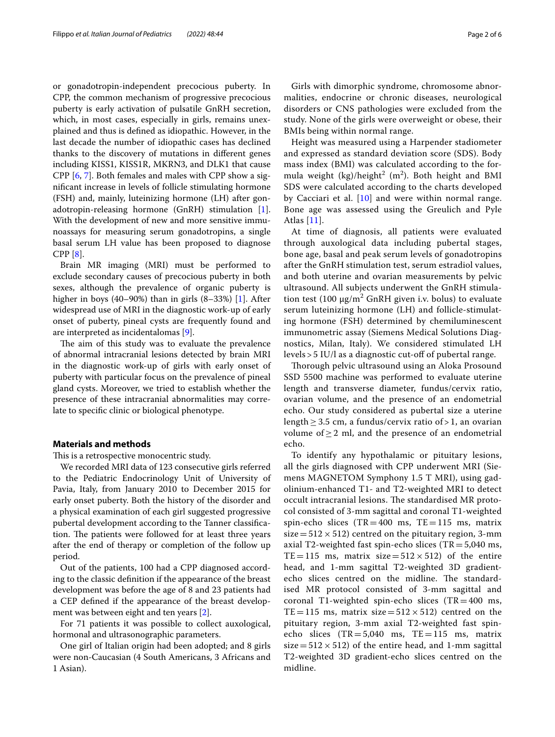or gonadotropin-independent precocious puberty. In CPP, the common mechanism of progressive precocious puberty is early activation of pulsatile GnRH secretion, which, in most cases, especially in girls, remains unexplained and thus is defned as idiopathic. However, in the last decade the number of idiopathic cases has declined thanks to the discovery of mutations in diferent genes including KISS1, KISS1R, MKRN3, and DLK1 that cause CPP [[6](#page-4-4), [7](#page-4-5)]. Both females and males with CPP show a signifcant increase in levels of follicle stimulating hormone (FSH) and, mainly, luteinizing hormone (LH) after gonadotropin-releasing hormone (GnRH) stimulation [\[1](#page-4-0)]. With the development of new and more sensitive immunoassays for measuring serum gonadotropins, a single basal serum LH value has been proposed to diagnose CPP [\[8](#page-4-6)].

Brain MR imaging (MRI) must be performed to exclude secondary causes of precocious puberty in both sexes, although the prevalence of organic puberty is higher in boys (40–90%) than in girls (8–33%) [[1\]](#page-4-0). After widespread use of MRI in the diagnostic work-up of early onset of puberty, pineal cysts are frequently found and are interpreted as incidentalomas [[9](#page-4-7)].

The aim of this study was to evaluate the prevalence of abnormal intracranial lesions detected by brain MRI in the diagnostic work-up of girls with early onset of puberty with particular focus on the prevalence of pineal gland cysts. Moreover, we tried to establish whether the presence of these intracranial abnormalities may correlate to specifc clinic or biological phenotype.

# **Materials and methods**

This is a retrospective monocentric study.

We recorded MRI data of 123 consecutive girls referred to the Pediatric Endocrinology Unit of University of Pavia, Italy, from January 2010 to December 2015 for early onset puberty. Both the history of the disorder and a physical examination of each girl suggested progressive pubertal development according to the Tanner classifcation. The patients were followed for at least three years after the end of therapy or completion of the follow up period.

Out of the patients, 100 had a CPP diagnosed according to the classic defnition if the appearance of the breast development was before the age of 8 and 23 patients had a CEP defned if the appearance of the breast development was between eight and ten years [[2\]](#page-4-1).

For 71 patients it was possible to collect auxological, hormonal and ultrasonographic parameters.

One girl of Italian origin had been adopted; and 8 girls were non-Caucasian (4 South Americans, 3 Africans and 1 Asian).

Girls with dimorphic syndrome, chromosome abnormalities, endocrine or chronic diseases, neurological disorders or CNS pathologies were excluded from the study. None of the girls were overweight or obese, their BMIs being within normal range.

Height was measured using a Harpender stadiometer and expressed as standard deviation score (SDS). Body mass index (BMI) was calculated according to the formula weight  $(kg)/height^2$  (m<sup>2</sup>). Both height and BMI SDS were calculated according to the charts developed by Cacciari et al. [\[10](#page-4-8)] and were within normal range. Bone age was assessed using the Greulich and Pyle Atlas [[11](#page-4-9)].

At time of diagnosis, all patients were evaluated through auxological data including pubertal stages, bone age, basal and peak serum levels of gonadotropins after the GnRH stimulation test, serum estradiol values, and both uterine and ovarian measurements by pelvic ultrasound. All subjects underwent the GnRH stimulation test (100  $\mu$ g/m<sup>2</sup> GnRH given i.v. bolus) to evaluate serum luteinizing hormone (LH) and follicle-stimulating hormone (FSH) determined by chemiluminescent immunometric assay (Siemens Medical Solutions Diagnostics, Milan, Italy). We considered stimulated LH levels > 5 IU/l as a diagnostic cut-of of pubertal range.

Thorough pelvic ultrasound using an Aloka Prosound SSD 5500 machine was performed to evaluate uterine length and transverse diameter, fundus/cervix ratio, ovarian volume, and the presence of an endometrial echo. Our study considered as pubertal size a uterine length  $\geq$  3.5 cm, a fundus/cervix ratio of > 1, an ovarian volume of  $\geq$  2 ml, and the presence of an endometrial echo.

To identify any hypothalamic or pituitary lesions, all the girls diagnosed with CPP underwent MRI (Siemens MAGNETOM Symphony 1.5 T MRI), using gadolinium-enhanced T1- and T2-weighted MRI to detect occult intracranial lesions. The standardised MR protocol consisted of 3-mm sagittal and coronal T1-weighted spin-echo slices  $(TR=400 \text{ ms}, TE=115 \text{ ms}, \text{ matrix})$  $size=512\times512$ ) centred on the pituitary region, 3-mm axial T2-weighted fast spin-echo slices (TR= $5,040$  ms, TE=115 ms, matrix size=512  $\times$  512) of the entire head, and 1-mm sagittal T2-weighted 3D gradientecho slices centred on the midline. The standardised MR protocol consisted of 3-mm sagittal and coronal T1-weighted spin-echo slices (TR=400 ms, TE=115 ms, matrix size=512  $\times$  512) centred on the pituitary region, 3-mm axial T2-weighted fast spinecho slices  $(TR = 5,040$  ms,  $TE = 115$  ms, matrix size =  $512 \times 512$ ) of the entire head, and 1-mm sagittal T2-weighted 3D gradient-echo slices centred on the midline.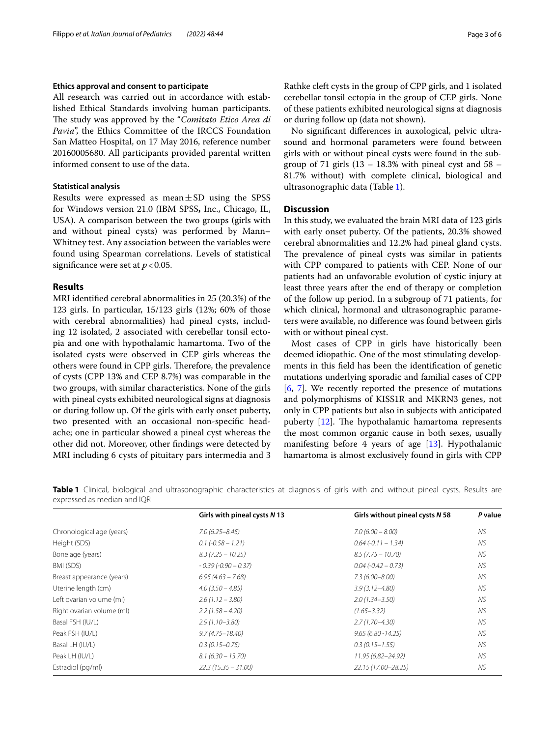# **Ethics approval and consent to participate**

All research was carried out in accordance with established Ethical Standards involving human participants. The study was approved by the "*Comitato Etico Area di* Pavia", the Ethics Committee of the IRCCS Foundation San Matteo Hospital, on 17 May 2016, reference number 20160005680. All participants provided parental written informed consent to use of the data.

# **Statistical analysis**

Results were expressed as mean $\pm$ SD using the SPSS for Windows version 21.0 (IBM SPSS**,** Inc., Chicago, IL, USA). A comparison between the two groups (girls with and without pineal cysts) was performed by Mann– Whitney test. Any association between the variables were found using Spearman correlations. Levels of statistical significance were set at  $p < 0.05$ .

# **Results**

MRI identifed cerebral abnormalities in 25 (20.3%) of the 123 girls. In particular, 15/123 girls (12%; 60% of those with cerebral abnormalities) had pineal cysts, including 12 isolated, 2 associated with cerebellar tonsil ectopia and one with hypothalamic hamartoma. Two of the isolated cysts were observed in CEP girls whereas the others were found in CPP girls. Therefore, the prevalence of cysts (CPP 13% and CEP 8.7%) was comparable in the two groups, with similar characteristics. None of the girls with pineal cysts exhibited neurological signs at diagnosis or during follow up. Of the girls with early onset puberty, two presented with an occasional non-specifc headache; one in particular showed a pineal cyst whereas the other did not. Moreover, other fndings were detected by MRI including 6 cysts of pituitary pars intermedia and 3 Rathke cleft cysts in the group of CPP girls, and 1 isolated cerebellar tonsil ectopia in the group of CEP girls. None of these patients exhibited neurological signs at diagnosis or during follow up (data not shown).

No signifcant diferences in auxological, pelvic ultrasound and hormonal parameters were found between girls with or without pineal cysts were found in the subgroup of 71 girls  $(13 - 18.3\%$  with pineal cyst and  $58 -$ 81.7% without) with complete clinical, biological and ultrasonographic data (Table [1](#page-2-0)).

# **Discussion**

In this study, we evaluated the brain MRI data of 123 girls with early onset puberty. Of the patients, 20.3% showed cerebral abnormalities and 12.2% had pineal gland cysts. The prevalence of pineal cysts was similar in patients with CPP compared to patients with CEP. None of our patients had an unfavorable evolution of cystic injury at least three years after the end of therapy or completion of the follow up period. In a subgroup of 71 patients, for which clinical, hormonal and ultrasonographic parameters were available, no diference was found between girls with or without pineal cyst.

Most cases of CPP in girls have historically been deemed idiopathic. One of the most stimulating developments in this feld has been the identifcation of genetic mutations underlying sporadic and familial cases of CPP [[6,](#page-4-4) [7](#page-4-5)]. We recently reported the presence of mutations and polymorphisms of KISS1R and MKRN3 genes, not only in CPP patients but also in subjects with anticipated puberty  $[12]$  $[12]$ . The hypothalamic hamartoma represents the most common organic cause in both sexes, usually manifesting before 4 years of age [\[13](#page-4-11)]. Hypothalamic hamartoma is almost exclusively found in girls with CPP

<span id="page-2-0"></span>**Table 1** Clinical, biological and ultrasonographic characteristics at diagnosis of girls with and without pineal cysts. Results are expressed as median and IQR

|                           | Girls with pineal cysts N 13 | Girls without pineal cysts N 58 | P value   |
|---------------------------|------------------------------|---------------------------------|-----------|
| Chronological age (years) | $7.0(6.25 - 8.45)$           | $7.0(6.00 - 8.00)$              | NS.       |
| Height (SDS)              | $0.1 (-0.58 - 1.21)$         | $0.64(-0.11 - 1.34)$            | NS.       |
| Bone age (years)          | $8.3(7.25 - 10.25)$          | $8.5(7.75 - 10.70)$             | NS.       |
| BMI (SDS)                 | $-0.39(-0.90 - 0.37)$        | $0.04 (-0.42 - 0.73)$           | <b>NS</b> |
| Breast appearance (years) | $6.95(4.63 - 7.68)$          | $7.3(6.00 - 8.00)$              | NS.       |
| Uterine length (cm)       | $4.0(3.50 - 4.85)$           | $3.9(3.12 - 4.80)$              | NS.       |
| Left ovarian volume (ml)  | $2.6(1.12 - 3.80)$           | $2.0(1.34 - 3.50)$              | NS.       |
| Right ovarian volume (ml) | $2.2(1.58 - 4.20)$           | $(1.65 - 3.32)$                 | NS.       |
| Basal FSH (IU/L)          | $2.9(1.10 - 3.80)$           | $2.7(1.70 - 4.30)$              | NS.       |
| Peak FSH (IU/L)           | $9.7(4.75 - 18.40)$          | $9.65(6.80 - 14.25)$            | <b>NS</b> |
| Basal LH (IU/L)           | $0.3(0.15 - 0.75)$           | $0.3(0.15 - 1.55)$              | <b>NS</b> |
| Peak LH (IU/L)            | $8.1(6.30 - 13.70)$          | 11.95 (6.82-24.92)              | NS.       |
| Estradiol (pg/ml)         | $22.3(15.35 - 31.00)$        | 22.15 (17.00-28.25)             | NS.       |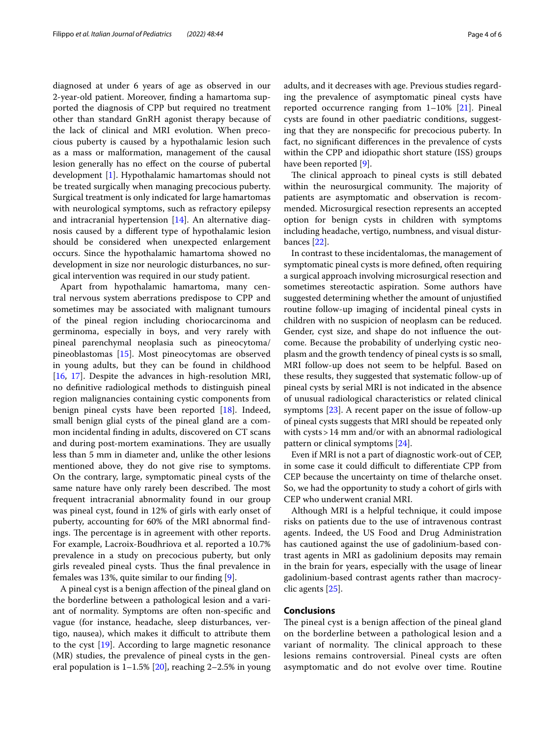diagnosed at under 6 years of age as observed in our 2-year-old patient. Moreover, fnding a hamartoma supported the diagnosis of CPP but required no treatment other than standard GnRH agonist therapy because of the lack of clinical and MRI evolution. When precocious puberty is caused by a hypothalamic lesion such as a mass or malformation, management of the causal lesion generally has no efect on the course of pubertal development [\[1](#page-4-0)]. Hypothalamic hamartomas should not be treated surgically when managing precocious puberty. Surgical treatment is only indicated for large hamartomas with neurological symptoms, such as refractory epilepsy and intracranial hypertension [[14](#page-4-12)]. An alternative diagnosis caused by a diferent type of hypothalamic lesion should be considered when unexpected enlargement occurs. Since the hypothalamic hamartoma showed no development in size nor neurologic disturbances, no surgical intervention was required in our study patient.

Apart from hypothalamic hamartoma, many central nervous system aberrations predispose to CPP and sometimes may be associated with malignant tumours of the pineal region including choriocarcinoma and germinoma, especially in boys, and very rarely with pineal parenchymal neoplasia such as pineocytoma/ pineoblastomas [[15](#page-4-13)]. Most pineocytomas are observed in young adults, but they can be found in childhood [[16,](#page-4-14) [17](#page-4-15)]. Despite the advances in high-resolution MRI, no defnitive radiological methods to distinguish pineal region malignancies containing cystic components from benign pineal cysts have been reported [\[18](#page-4-16)]. Indeed, small benign glial cysts of the pineal gland are a common incidental fnding in adults, discovered on CT scans and during post-mortem examinations. They are usually less than 5 mm in diameter and, unlike the other lesions mentioned above, they do not give rise to symptoms. On the contrary, large, symptomatic pineal cysts of the same nature have only rarely been described. The most frequent intracranial abnormality found in our group was pineal cyst, found in 12% of girls with early onset of puberty, accounting for 60% of the MRI abnormal fndings. The percentage is in agreement with other reports. For example, Lacroix-Boudhriova et al. reported a 10.7% prevalence in a study on precocious puberty, but only girls revealed pineal cysts. Tus the fnal prevalence in females was 13%, quite similar to our fnding [[9\]](#page-4-7).

A pineal cyst is a benign afection of the pineal gland on the borderline between a pathological lesion and a variant of normality. Symptoms are often non-specifc and vague (for instance, headache, sleep disturbances, vertigo, nausea), which makes it difficult to attribute them to the cyst [[19\]](#page-4-17). According to large magnetic resonance (MR) studies, the prevalence of pineal cysts in the general population is  $1-1.5\%$  [\[20](#page-4-18)], reaching 2-2.5% in young adults, and it decreases with age. Previous studies regarding the prevalence of asymptomatic pineal cysts have reported occurrence ranging from  $1-10\%$  [\[21\]](#page-4-19). Pineal cysts are found in other paediatric conditions, suggesting that they are nonspecifc for precocious puberty. In fact, no signifcant diferences in the prevalence of cysts within the CPP and idiopathic short stature (ISS) groups have been reported [\[9\]](#page-4-7).

The clinical approach to pineal cysts is still debated within the neurosurgical community. The majority of patients are asymptomatic and observation is recommended. Microsurgical resection represents an accepted option for benign cysts in children with symptoms including headache, vertigo, numbness, and visual disturbances [\[22\]](#page-4-20).

In contrast to these incidentalomas, the management of symptomatic pineal cysts is more defned, often requiring a surgical approach involving microsurgical resection and sometimes stereotactic aspiration. Some authors have suggested determining whether the amount of unjustifed routine follow-up imaging of incidental pineal cysts in children with no suspicion of neoplasm can be reduced. Gender, cyst size, and shape do not infuence the outcome. Because the probability of underlying cystic neoplasm and the growth tendency of pineal cysts is so small, MRI follow-up does not seem to be helpful. Based on these results, they suggested that systematic follow-up of pineal cysts by serial MRI is not indicated in the absence of unusual radiological characteristics or related clinical symptoms [\[23\]](#page-5-0). A recent paper on the issue of follow-up of pineal cysts suggests that MRI should be repeated only with cysts>14 mm and/or with an abnormal radiological pattern or clinical symptoms [\[24](#page-5-1)].

Even if MRI is not a part of diagnostic work-out of CEP, in some case it could difficult to differentiate CPP from CEP because the uncertainty on time of thelarche onset. So, we had the opportunity to study a cohort of girls with CEP who underwent cranial MRI.

Although MRI is a helpful technique, it could impose risks on patients due to the use of intravenous contrast agents. Indeed, the US Food and Drug Administration has cautioned against the use of gadolinium-based contrast agents in MRI as gadolinium deposits may remain in the brain for years, especially with the usage of linear gadolinium-based contrast agents rather than macrocyclic agents [[25\]](#page-5-2).

# **Conclusions**

The pineal cyst is a benign affection of the pineal gland on the borderline between a pathological lesion and a variant of normality. The clinical approach to these lesions remains controversial. Pineal cysts are often asymptomatic and do not evolve over time. Routine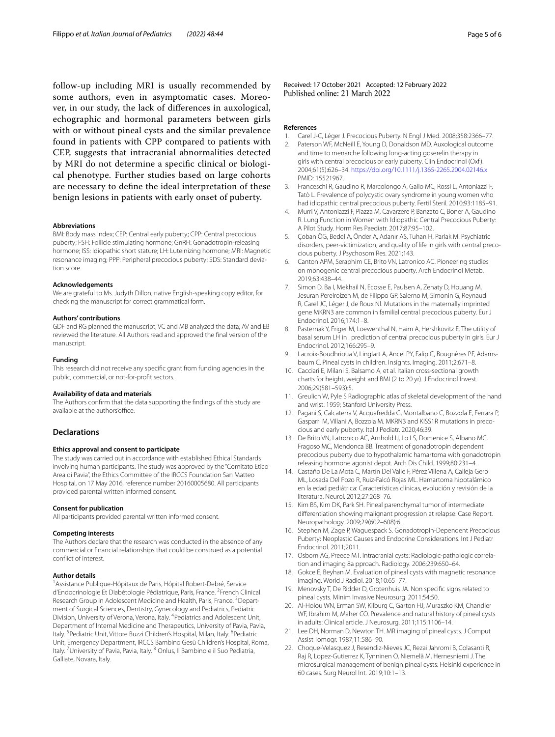follow-up including MRI is usually recommended by some authors, even in asymptomatic cases. Moreover, in our study, the lack of diferences in auxological, echographic and hormonal parameters between girls with or without pineal cysts and the similar prevalence found in patients with CPP compared to patients with CEP, suggests that intracranial abnormalities detected by MRI do not determine a specifc clinical or biological phenotype. Further studies based on large cohorts are necessary to defne the ideal interpretation of these benign lesions in patients with early onset of puberty.

#### **Abbreviations**

BMI: Body mass index; CEP: Central early puberty; CPP: Central precocious puberty; FSH: Follicle stimulating hormone; GnRH: Gonadotropin-releasing hormone; ISS: Idiopathic short stature; LH: Luteinizing hormone; MRI: Magnetic resonance imaging; PPP: Peripheral precocious puberty; SDS: Standard deviation score.

## **Acknowledgements**

We are grateful to Ms. Judyth Dillon, native English-speaking copy editor, for checking the manuscript for correct grammatical form.

#### **Authors' contributions**

GDF and RG planned the manuscript; VC and MB analyzed the data; AV and EB reviewed the literature. All Authors read and approved the fnal version of the manuscript.

#### **Funding**

This research did not receive any specifc grant from funding agencies in the public, commercial, or not-for-proft sectors.

#### **Availability of data and materials**

The Authors confrm that the data supporting the fndings of this study are available at the authors'office.

## **Declarations**

#### **Ethics approval and consent to participate**

The study was carried out in accordance with established Ethical Standards involving human participants. The study was approved by the "Comitato Etico Area di Pavia", the Ethics Committee of the IRCCS Foundation San Matteo Hospital, on 17 May 2016, reference number 20160005680. All participants provided parental written informed consent.

#### **Consent for publication**

All participants provided parental written informed consent.

#### **Competing interests**

The Authors declare that the research was conducted in the absence of any commercial or fnancial relationships that could be construed as a potential confict of interest.

#### **Author details**

<sup>1</sup> Assistance Publique-Hôpitaux de Paris, Hôpital Robert-Debré, Service d'Endocrinologie Et Diabétologie Pédiatrique, Paris, France. <sup>2</sup>French Clinical Research Group in Adolescent Medicine and Health, Paris, France. <sup>3</sup>Department of Surgical Sciences, Dentistry, Gynecology and Pediatrics, Pediatric Division, University of Verona, Verona, Italy. <sup>4</sup> Pediatrics and Adolescent Unit, Department of Internal Medicine and Therapeutics, University of Pavia, Pavia, Italy. <sup>5</sup> Pediatric Unit, Vittore Buzzi Children's Hospital, Milan, Italy. <sup>6</sup> Pediatric Unit, Emergency Department, IRCCS Bambino Gesù Children's Hospital, Roma, Italy. <sup>7</sup>University of Pavia, Pavia, Italy. <sup>8</sup> Onlus, Il Bambino e il Suo Pediatria, Galliate, Novara, Italy.

Received: 17 October 2021 Accepted: 12 February 2022<br>Published online: 21 March 2022

#### **References**

- <span id="page-4-0"></span>1. Carel J-C, Léger J. Precocious Puberty. N Engl J Med. 2008;358:2366–77.
- <span id="page-4-1"></span>2. Paterson WF, McNeill E, Young D, Donaldson MD. Auxological outcome and time to menarche following long-acting goserelin therapy in girls with central precocious or early puberty. Clin Endocrinol (Oxf ). 2004;61(5):626–34. <https://doi.org/10.1111/j.1365-2265.2004.02146.x> PMID: 15521967.
- <span id="page-4-2"></span>3. Franceschi R, Gaudino R, Marcolongo A, Gallo MC, Rossi L, Antoniazzi F, Tatò L. Prevalence of polycystic ovary syndrome in young women who had idiopathic central precocious puberty. Fertil Steril. 2010;93:1185–91.
- 4. Murri V, Antoniazzi F, Piazza M, Cavarzere P, Banzato C, Boner A, Gaudino R. Lung Function in Women with Idiopathic Central Precocious Puberty: A Pilot Study. Horm Res Paediatr. 2017;87:95–102.
- <span id="page-4-3"></span>5. Çoban ÖG, Bedel A, Önder A, Adanır AS, Tuhan H, Parlak M. Psychiatric disorders, peer-victimization, and quality of life in girls with central precocious puberty. J Psychosom Res. 2021;143.
- <span id="page-4-4"></span>6. Canton APM, Seraphim CE, Brito VN, Latronico AC. Pioneering studies on monogenic central precocious puberty. Arch Endocrinol Metab. 2019;63:438–44.
- <span id="page-4-5"></span>7. Simon D, Ba I, Mekhail N, Ecosse E, Paulsen A, Zenaty D, Houang M, Jesuran Perelroizen M, de Filippo GP, Salerno M, Simonin G, Reynaud R, Carel JC, Léger J, de Roux Nl. Mutations in the maternally imprinted gene MKRN3 are common in familial central precocious puberty. Eur J Endocrinol. 2016;174:1–8.
- <span id="page-4-6"></span>8. Pasternak Y, Friger M, Loewenthal N, Haim A, Hershkovitz E. The utility of basal serum LH in . prediction of central precocious puberty in girls. Eur J Endocrinol. 2012;166:295–9.
- <span id="page-4-7"></span>9. Lacroix-Boudhrioua V, Linglart A, Ancel PY, Falip C, Bougnères PF, Adamsbaum C. Pineal cysts in children. Insights. Imaging. 2011;2:671–8.
- <span id="page-4-8"></span>10. Cacciari E, Milani S, Balsamo A, et al. Italian cross-sectional growth charts for height, weight and BMI (2 to 20 yr). J Endocrinol Invest. 2006;29(581–593):5.
- <span id="page-4-9"></span>11. Greulich W, Pyle S Radiographic atlas of skeletal development of the hand and wrist. 1959; Stanford University Press.
- <span id="page-4-10"></span>12. Pagani S, Calcaterra V, Acquafredda G, Montalbano C, Bozzola E, Ferrara P, Gasparri M, Villani A, Bozzola M. MKRN3 and KISS1R mutations in precocious and early puberty. Ital J Pediatr. 2020;46:39.
- <span id="page-4-11"></span>13. De Brito VN, Latronico AC, Arnhold IJ, Lo LS, Domenice S, Albano MC, Fragoso MC, Mendonca BB. Treatment of gonadotropin dependent precocious puberty due to hypothalamic hamartoma with gonadotropin releasing hormone agonist depot. Arch Dis Child. 1999;80:231–4.
- <span id="page-4-12"></span>14. Castaño De La Mota C, Martín Del Valle F, Pérez Villena A, Calleja Gero ML, Losada Del Pozo R, Ruiz-Falcó Rojas ML. Hamartoma hipotalámico en la edad pediátrica: Características clínicas, evolución y revisión de la literatura. Neurol. 2012;27:268–76.
- <span id="page-4-13"></span>15. Kim BS, Kim DK, Park SH. Pineal parenchymal tumor of intermediate diferentiation showing malignant progression at relapse: Case Report. Neuropathology. 2009;29(602–608):6.
- <span id="page-4-14"></span>16. Stephen M, Zage P, Waguespack S. Gonadotropin-Dependent Precocious Puberty: Neoplastic Causes and Endocrine Considerations. Int J Pediatr Endocrinol. 2011;2011.
- <span id="page-4-15"></span>17. Osborn AG, Preece MT. Intracranial cysts: Radiologic-pathologic correlation and imaging 8a pproach. Radiology. 2006;239:650–64.
- <span id="page-4-16"></span>18. Gokce E, Beyhan M. Evaluation of pineal cysts with magnetic resonance imaging. World J Radiol. 2018;10:65–77.
- <span id="page-4-17"></span>19. Menovsky T, De Ridder D, Grotenhuis JA. Non specifc signs related to pineal cysts. Minim Invasive Neurosurg. 2011;54:50.
- <span id="page-4-18"></span>20. Al-Holou WN, Erman SW, Kilburg C, Garton HJ, Muraszko KM, Chandler WF, Ibrahim M, Maher CO. Prevalence and natural history of pineal cysts in adults: Clinical article. J Neurosurg. 2011;115:1106–14.
- <span id="page-4-19"></span>21. Lee DH, Norman D, Newton TH. MR imaging of pineal cysts. J Comput Assist Tomogr. 1987;11:586–90.
- <span id="page-4-20"></span>22. Choque-Velasquez J, Resendiz-Nieves JC, Rezai Jahromi B, Colasanti R, Raj R, Lopez-Gutierrez K, Tynninen O, Niemelä M, Hernesniemi J. The microsurgical management of benign pineal cysts: Helsinki experience in 60 cases. Surg Neurol Int. 2019;10:1–13.